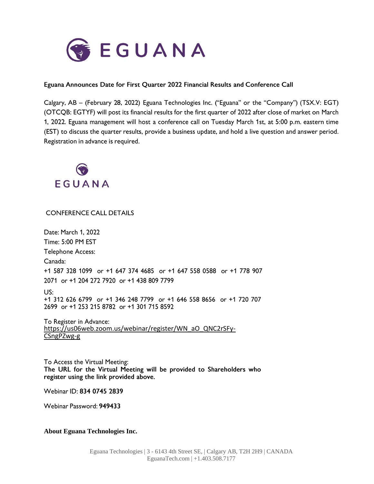

## Eguana Announces Date for First Quarter 2022 Financial Results and Conference Call

Calgary, AB - (February 28, 2022) Eguana Technologies Inc. ("Eguana" or the "Company") (TSX.V: EGT) (OTCQB: EGTYF) will post its financial results for the first quarter of 2022 after close of market on March 1, 2022. Eguana management will host a conference call on Tuesday March 1st, at 5:00 p.m. eastern time (EST) to discuss the quarter results, provide a business update, and hold a live question and answer period. Registration in advance is required.



**CONFERENCE CALL DETAILS** 

Date: March 1, 2022 Time: 5:00 PM EST **Telephone Access:** Canada: +1 587 328 1099 or +1 647 374 4685 or +1 647 558 0588 or +1 778 907 2071 or +1 204 272 7920 or +1 438 809 7799  $US:$ +1 312 626 6799 or +1 346 248 7799 or +1 646 558 8656 or +1 720 707 2699 or +1 253 215 8782 or +1 301 715 8592

To Register in Advance: [https://us06web.zoom.us/webinar/register/WN\\_aO\\_QNC2rSFy-](https://us06web.zoom.us/webinar/register/WN_aO_QNC2rSFy-CSngPZwg-g)[CSngPZwg-g](https://us06web.zoom.us/webinar/register/WN_aO_QNC2rSFy-CSngPZwg-g)

To Access the Virtual Meeting: The URL for the Virtual Meeting will be provided to Shareholders who register using the link provided above.

Webinar ID: 834 0745 2839

Webinar Password: 949433

## **About Eguana Technologies Inc.**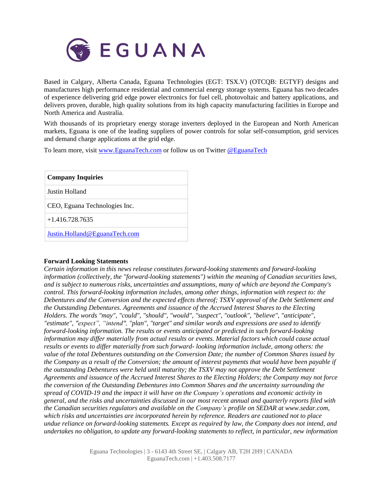

Based in Calgary, Alberta Canada, Eguana Technologies (EGT: TSX.V) (OTCQB: EGTYF) designs and manufactures high performance residential and commercial energy storage systems. Eguana has two decades of experience delivering grid edge power electronics for fuel cell, photovoltaic and battery applications, and delivers proven, durable, high quality solutions from its high capacity manufacturing facilities in Europe and North America and Australia.

With thousands of its proprietary energy storage inverters deployed in the European and North American markets, Eguana is one of the leading suppliers of power controls for solar self-consumption, grid services and demand charge applications at the grid edge.

To learn more, visit [www.EguanaTech.com](http://www.eguanatech.com/) or follow us on Twitter [@EguanaTech](https://twitter.com/EguanaTech)

| <b>Company Inquiries</b>      |
|-------------------------------|
| Justin Holland                |
| CEO, Eguana Technologies Inc. |
| $+1.416.728.7635$             |
| Justin.Holland@EguanaTech.com |

## **Forward Looking Statements**

*Certain information in this news release constitutes forward-looking statements and forward-looking information (collectively, the "forward-looking statements") within the meaning of Canadian securities laws, and is subject to numerous risks, uncertainties and assumptions, many of which are beyond the Company's control. This forward-looking information includes, among other things, information with respect to: the Debentures and the Conversion and the expected effects thereof; TSXV approval of the Debt Settlement and the Outstanding Debentures. Agreements and issuance of the Accrued Interest Shares to the Electing Holders. The words "may", "could", "should", "would", "suspect", "outlook", "believe", "anticipate", "estimate", "expect", "intend", "plan", "target" and similar words and expressions are used to identify forward-looking information. The results or events anticipated or predicted in such forward-looking information may differ materially from actual results or events. Material factors which could cause actual results or events to differ materially from such forward- looking information include, among others: the value of the total Debentures outstanding on the Conversion Date; the number of Common Shares issued by* the Company as a result of the Conversion; the amount of interest payments that would have been payable if *the outstanding Debentures were held until maturity; the TSXV may not approve the Debt Settlement Agreements and issuance of the Accrued Interest Shares to the Electing Holders; the Company may not force the conversion of the Outstanding Debentures into Common Shares and the uncertainty surrounding the spread of COVID-19 and the impact it will have on the Company's operations and economic activity in* general, and the risks and uncertainties discussed in our most recent annual and quarterly reports filed with *the Canadian securities regulators and available on the Company's profile on SEDAR at www.sedar.com, which risks and uncertainties are incorporated herein by reference. Readers are cautioned not to place undue reliance on forward-looking statements. Except as required by law, the Company does not intend, and undertakes no obligation, to update any forward-looking statements to reflect, in particular, new information*